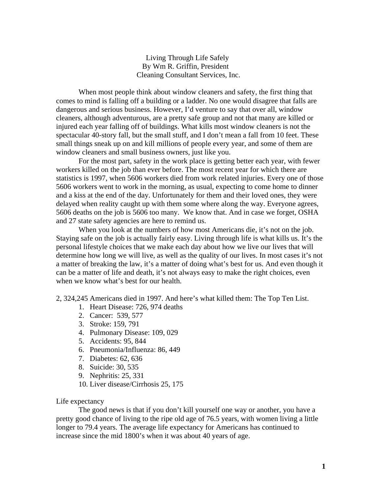Living Through Life Safely By Wm R. Griffin, President [Cleaning Consultant Services, Inc.](http://www.cleaningconsultants.com) 

When most people think about window cleaners and safety, the first thing that comes to mind is falling off a building or a ladder. No one would disagree that falls are dangerous and serious business. However, I'd venture to say that over all, window cleaners, although adventurous, are a pretty safe group and not that many are killed or injured each year falling off of buildings. What kills most window cleaners is not the spectacular 40-story fall, but the small stuff, and I don't mean a fall from 10 feet. These small things sneak up on and kill millions of people every year, and some of them are window cleaners and small business owners, just like you.

For the most part, safety in the work place is getting better each year, with fewer workers killed on the job than ever before. The most recent year for which there are statistics is 1997, when 5606 workers died from work related injuries. Every one of those 5606 workers went to work in the morning, as usual, expecting to come home to dinner and a kiss at the end of the day. Unfortunately for them and their loved ones, they were delayed when reality caught up with them some where along the way. Everyone agrees, 5606 deaths on the job is 5606 too many. We know that. And in case we forget, OSHA and 27 state safety agencies are here to remind us.

When you look at the numbers of how most Americans die, it's not on the job. Staying safe on the job is actually fairly easy. Living through life is what kills us. It's the personal lifestyle choices that we make each day about how we live our lives that will determine how long we will live, as well as the quality of our lives. In most cases it's not a matter of breaking the law, it's a matter of doing what's best for us. And even though it can be a matter of life and death, it's not always easy to make the right choices, even when we know what's best for our health.

2, 324,245 Americans died in 1997. And here's what killed them: The Top Ten List.

- 1. Heart Disease: 726, 974 deaths
- 2. Cancer: 539, 577
- 3. Stroke: 159, 791
- 4. Pulmonary Disease: 109, 029
- 5. Accidents: 95, 844
- 6. Pneumonia/Influenza: 86, 449
- 7. Diabetes: 62, 636
- 8. Suicide: 30, 535
- 9. Nephritis: 25, 331
- 10. Liver disease/Cirrhosis 25, 175

## Life expectancy

The good news is that if you don't kill yourself one way or another, you have a pretty good chance of living to the ripe old age of 76.5 years, with women living a little longer to 79.4 years. The average life expectancy for Americans has continued to increase since the mid 1800's when it was about 40 years of age.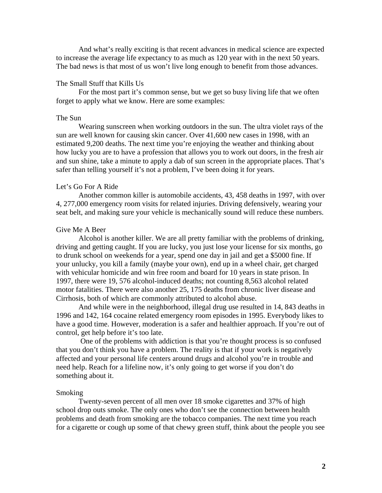And what's really exciting is that recent advances in medical science are expected to increase the average life expectancy to as much as 120 year with in the next 50 years. The bad news is that most of us won't live long enough to benefit from those advances.

## The Small Stuff that Kills Us

For the most part it's common sense, but we get so busy living life that we often forget to apply what we know. Here are some examples:

#### The Sun

Wearing sunscreen when working outdoors in the sun. The ultra violet rays of the sun are well known for causing skin cancer. Over 41,600 new cases in 1998, with an estimated 9,200 deaths. The next time you're enjoying the weather and thinking about how lucky you are to have a profession that allows you to work out doors, in the fresh air and sun shine, take a minute to apply a dab of sun screen in the appropriate places. That's safer than telling yourself it's not a problem, I've been doing it for years.

## Let's Go For A Ride

Another common killer is automobile accidents, 43, 458 deaths in 1997, with over 4, 277,000 emergency room visits for related injuries. Driving defensively, wearing your seat belt, and making sure your vehicle is mechanically sound will reduce these numbers.

# Give Me A Beer

Alcohol is another killer. We are all pretty familiar with the problems of drinking, driving and getting caught. If you are lucky, you just lose your license for six months, go to drunk school on weekends for a year, spend one day in jail and get a \$5000 fine. If your unlucky, you kill a family (maybe your own), end up in a wheel chair, get charged with vehicular homicide and win free room and board for 10 years in state prison. In 1997, there were 19, 576 alcohol-induced deaths; not counting 8,563 alcohol related motor fatalities. There were also another 25, 175 deaths from chronic liver disease and Cirrhosis, both of which are commonly attributed to alcohol abuse.

And while were in the neighborhood, illegal drug use resulted in 14, 843 deaths in 1996 and 142, 164 cocaine related emergency room episodes in 1995. Everybody likes to have a good time. However, moderation is a safer and healthier approach. If you're out of control, get help before it's too late.

 One of the problems with addiction is that you're thought process is so confused that you don't think you have a problem. The reality is that if your work is negatively affected and your personal life centers around drugs and alcohol you're in trouble and need help. Reach for a lifeline now, it's only going to get worse if you don't do something about it.

#### Smoking

Twenty-seven percent of all men over 18 smoke cigarettes and 37% of high school drop outs smoke. The only ones who don't see the connection between health problems and death from smoking are the tobacco companies. The next time you reach for a cigarette or cough up some of that chewy green stuff, think about the people you see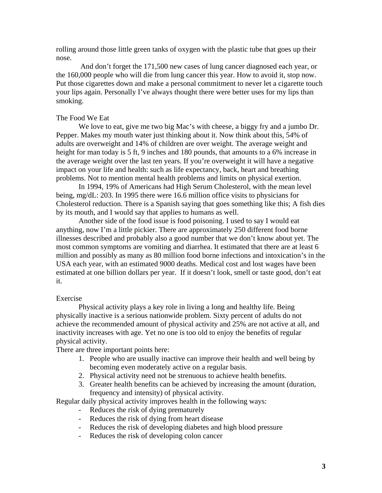rolling around those little green tanks of oxygen with the plastic tube that goes up their nose.

 And don't forget the 171,500 new cases of lung cancer diagnosed each year, or the 160,000 people who will die from lung cancer this year. How to avoid it, stop now. Put those cigarettes down and make a personal commitment to never let a cigarette touch your lips again. Personally I've always thought there were better uses for my lips than smoking.

## The Food We Eat

We love to eat, give me two big Mac's with cheese, a biggy fry and a jumbo Dr. Pepper. Makes my mouth water just thinking about it. Now think about this, 54% of adults are overweight and 14% of children are over weight. The average weight and height for man today is 5 ft, 9 inches and 180 pounds, that amounts to a 6% increase in the average weight over the last ten years. If you're overweight it will have a negative impact on your life and health: such as life expectancy, back, heart and breathing problems. Not to mention mental health problems and limits on physical exertion.

In 1994, 19% of Americans had High Serum Cholesterol, with the mean level being, mg/dL: 203. In 1995 there were 16.6 million office visits to physicians for Cholesterol reduction. There is a Spanish saying that goes something like this; A fish dies by its mouth, and I would say that applies to humans as well.

Another side of the food issue is food poisoning. I used to say I would eat anything, now I'm a little pickier. There are approximately 250 different food borne illnesses described and probably also a good number that we don't know about yet. The most common symptoms are vomiting and diarrhea. It estimated that there are at least 6 million and possibly as many as 80 million food borne infections and intoxication's in the USA each year, with an estimated 9000 deaths. Medical cost and lost wages have been estimated at one billion dollars per year. If it doesn't look, smell or taste good, don't eat it.

#### Exercise

Physical activity plays a key role in living a long and healthy life. Being physically inactive is a serious nationwide problem. Sixty percent of adults do not achieve the recommended amount of physical activity and 25% are not active at all, and inactivity increases with age. Yet no one is too old to enjoy the benefits of regular physical activity.

There are three important points here:

- 1. People who are usually inactive can improve their health and well being by becoming even moderately active on a regular basis.
- 2. Physical activity need not be strenuous to achieve health benefits.
- 3. Greater health benefits can be achieved by increasing the amount (duration, frequency and intensity) of physical activity.

Regular daily physical activity improves health in the following ways:

- Reduces the risk of dying prematurely
- Reduces the risk of dying from heart disease
- Reduces the risk of developing diabetes and high blood pressure
- Reduces the risk of developing colon cancer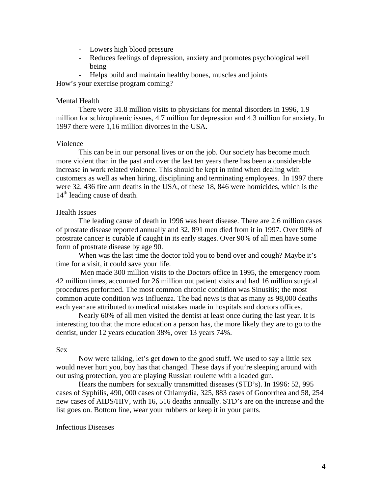- Lowers high blood pressure
- Reduces feelings of depression, anxiety and promotes psychological well being
- Helps build and maintain healthy bones, muscles and joints

How's your exercise program coming?

## Mental Health

There were 31.8 million visits to physicians for mental disorders in 1996, 1.9 million for schizophrenic issues, 4.7 million for depression and 4.3 million for anxiety. In 1997 there were 1,16 million divorces in the USA.

#### Violence

This can be in our personal lives or on the job. Our society has become much more violent than in the past and over the last ten years there has been a considerable increase in work related violence. This should be kept in mind when dealing with customers as well as when hiring, disciplining and terminating employees. In 1997 there were 32, 436 fire arm deaths in the USA, of these 18, 846 were homicides, which is the  $14<sup>th</sup>$  leading cause of death.

## Health Issues

The leading cause of death in 1996 was heart disease. There are 2.6 million cases of prostate disease reported annually and 32, 891 men died from it in 1997. Over 90% of prostrate cancer is curable if caught in its early stages. Over 90% of all men have some form of prostrate disease by age 90.

When was the last time the doctor told you to bend over and cough? Maybe it's time for a visit, it could save your life.

 Men made 300 million visits to the Doctors office in 1995, the emergency room 42 million times, accounted for 26 million out patient visits and had 16 million surgical procedures performed. The most common chronic condition was Sinusitis; the most common acute condition was Influenza. The bad news is that as many as 98,000 deaths each year are attributed to medical mistakes made in hospitals and doctors offices.

Nearly 60% of all men visited the dentist at least once during the last year. It is interesting too that the more education a person has, the more likely they are to go to the dentist, under 12 years education 38%, over 13 years 74%.

#### Sex

Now were talking, let's get down to the good stuff. We used to say a little sex would never hurt you, boy has that changed. These days if you're sleeping around with out using protection, you are playing Russian roulette with a loaded gun.

Hears the numbers for sexually transmitted diseases (STD's). In 1996: 52, 995 cases of Syphilis, 490, 000 cases of Chlamydia, 325, 883 cases of Gonorrhea and 58, 254 new cases of AIDS/HIV, with 16, 516 deaths annually. STD's are on the increase and the list goes on. Bottom line, wear your rubbers or keep it in your pants.

#### Infectious Diseases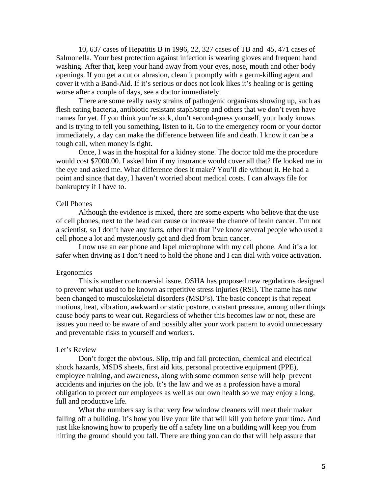10, 637 cases of Hepatitis B in 1996, 22, 327 cases of TB and 45, 471 cases of Salmonella. Your best protection against infection is wearing gloves and frequent hand washing. After that, keep your hand away from your eyes, nose, mouth and other body openings. If you get a cut or abrasion, clean it promptly with a germ-killing agent and cover it with a Band-Aid. If it's serious or does not look likes it's healing or is getting worse after a couple of days, see a doctor immediately.

There are some really nasty strains of pathogenic organisms showing up, such as flesh eating bacteria, antibiotic resistant staph/strep and others that we don't even have names for yet. If you think you're sick, don't second-guess yourself, your body knows and is trying to tell you something, listen to it. Go to the emergency room or your doctor immediately, a day can make the difference between life and death. I know it can be a tough call, when money is tight.

Once, I was in the hospital for a kidney stone. The doctor told me the procedure would cost \$7000.00. I asked him if my insurance would cover all that? He looked me in the eye and asked me. What difference does it make? You'll die without it. He had a point and since that day, I haven't worried about medical costs. I can always file for bankruptcy if I have to.

## Cell Phones

Although the evidence is mixed, there are some experts who believe that the use of cell phones, next to the head can cause or increase the chance of brain cancer. I'm not a scientist, so I don't have any facts, other than that I've know several people who used a cell phone a lot and mysteriously got and died from brain cancer.

I now use an ear phone and lapel microphone with my cell phone. And it's a lot safer when driving as I don't need to hold the phone and I can dial with voice activation.

#### Ergonomics

This is another controversial issue. OSHA has proposed new regulations designed to prevent what used to be known as repetitive stress injuries (RSI). The name has now been changed to musculoskeletal disorders (MSD's). The basic concept is that repeat motions, heat, vibration, awkward or static posture, constant pressure, among other things cause body parts to wear out. Regardless of whether this becomes law or not, these are issues you need to be aware of and possibly alter your work pattern to avoid unnecessary and preventable risks to yourself and workers.

#### Let's Review

Don't forget the obvious. Slip, trip and fall protection, chemical and electrical shock hazards, MSDS sheets, first aid kits, personal protective equipment (PPE), employee training, and awareness, along with some common sense will help prevent accidents and injuries on the job. It's the law and we as a profession have a moral obligation to protect our employees as well as our own health so we may enjoy a long, full and productive life.

What the numbers say is that very few window cleaners will meet their maker falling off a building. It's how you live your life that will kill you before your time. And just like knowing how to properly tie off a safety line on a building will keep you from hitting the ground should you fall. There are thing you can do that will help assure that